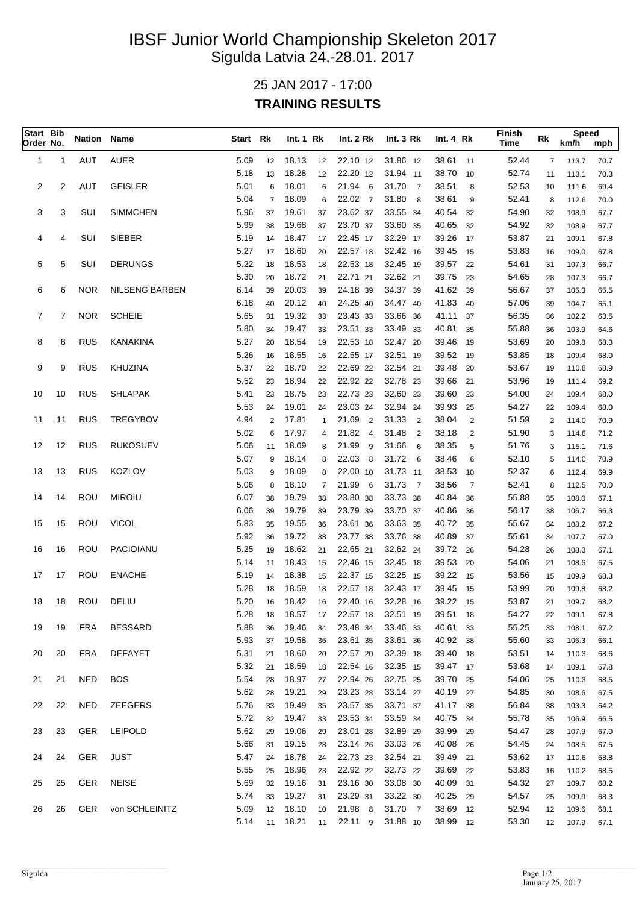## IBSF Junior World Championship Skeleton 2017 Sigulda Latvia 24.-28.01. 2017

## 25 JAN 2017 - 17:00 **TRAINING RESULTS**

| Start Bib<br>Order No. |    | <b>Nation Name</b> |                       | Start Rk     |                | Int.1 Rk       |              | Int. 2 Rk               | Int.3 Rk                | Int.4 Rk             |                | Finish<br>Time | Rk             | <b>Speed</b><br>km/h | mph          |
|------------------------|----|--------------------|-----------------------|--------------|----------------|----------------|--------------|-------------------------|-------------------------|----------------------|----------------|----------------|----------------|----------------------|--------------|
| 1                      | 1  | AUT                | <b>AUER</b>           | 5.09         | 12             | 18.13          | 12           | 22.10 12                | 31.86 12                | 38.61                | 11             | 52.44          | $\overline{7}$ | 113.7                | 70.7         |
|                        |    |                    |                       | 5.18         | 13             | 18.28          | 12           | 22.20 12                | 31.94 11                | 38.70                | 10             | 52.74          | 11             | 113.1                | 70.3         |
| 2                      | 2  | AUT                | <b>GEISLER</b>        | 5.01         | 6              | 18.01          | 6            | 21.94<br>6              | 31.70<br>$\overline{7}$ | 38.51                | 8              | 52.53          | 10             | 111.6                | 69.4         |
|                        |    |                    |                       | 5.04         | $\overline{7}$ | 18.09          | 6            | 22.02 7                 | 31.80<br>8              | 38.61                | 9              | 52.41          | 8              | 112.6                | 70.0         |
| 3                      | 3  | SUI                | <b>SIMMCHEN</b>       | 5.96         | 37             | 19.61          | 37           | 23.62 37                | 33.55 34                | 40.54                | 32             | 54.90          | 32             | 108.9                | 67.7         |
|                        |    |                    |                       | 5.99         | 38             | 19.68          | 37           | 23.70 37                | 33.60 35                | 40.65                | 32             | 54.92          | 32             | 108.9                | 67.7         |
| 4                      | 4  | SUI                | <b>SIEBER</b>         | 5.19         | 14             | 18.47          | 17           | 22.45 17                | 32.29 17                | 39.26                | 17             | 53.87          | 21             | 109.1                | 67.8         |
|                        |    |                    |                       | 5.27         | 17             | 18.60          | 20           | 22.57 18                | 32.42 16                | 39.45                | 15             | 53.83          | 16             | 109.0                | 67.8         |
| 5                      | 5  | SUI                | <b>DERUNGS</b>        | 5.22         | 18             | 18.53          | 18           | 22.53 18                | 32.45 19                | 39.57                | 22             | 54.61          | 31             | 107.3                | 66.7         |
|                        | 6  | <b>NOR</b>         | <b>NILSENG BARBEN</b> | 5.30         | 20             | 18.72<br>20.03 | 21           | 22.71 21<br>24.18 39    | 32.62 21                | 39.75<br>41.62       | 23             | 54.65          | 28             | 107.3                | 66.7         |
| 6                      |    |                    |                       | 6.14<br>6.18 | 39<br>40       | 20.12          | 39<br>40     | 24.25 40                | 34.37 39<br>34.47 40    | 41.83                | 39<br>40       | 56.67<br>57.06 | 37<br>39       | 105.3                | 65.5<br>65.1 |
| $\overline{7}$         | 7  | <b>NOR</b>         | <b>SCHEIE</b>         | 5.65         | 31             | 19.32          | 33           | 23.43 33                | 33.66 36                | 41.11                | 37             | 56.35          | 36             | 104.7<br>102.2       | 63.5         |
|                        |    |                    |                       | 5.80         | 34             | 19.47          | 33           | 23.51 33                | 33.49 33                | 40.81                | 35             | 55.88          | 36             | 103.9                | 64.6         |
| 8                      | 8  | <b>RUS</b>         | <b>KANAKINA</b>       | 5.27         | 20             | 18.54          | 19           | 22.53 18                | 32.47 20                | 39.46                | 19             | 53.69          | 20             | 109.8                | 68.3         |
|                        |    |                    |                       | 5.26         | 16             | 18.55          | 16           | 22.55 17                | 32.51 19                | 39.52                | 19             | 53.85          | 18             | 109.4                | 68.0         |
| 9                      | 9  | <b>RUS</b>         | KHUZINA               | 5.37         | 22             | 18.70          | 22           | 22.69 22                | 32.54 21                | 39.48                | 20             | 53.67          | 19             | 110.8                | 68.9         |
|                        |    |                    |                       | 5.52         | 23             | 18.94          | 22           | 22.92 22                | 32.78 23                | 39.66                | 21             | 53.96          | 19             | 111.4                | 69.2         |
| 10                     | 10 | <b>RUS</b>         | <b>SHLAPAK</b>        | 5.41         | 23             | 18.75          | 23           | 22.73 23                | 32.60 23                | 39.60                | 23             | 54.00          | 24             | 109.4                | 68.0         |
|                        |    |                    |                       | 5.53         | 24             | 19.01          | 24           | 23.03 24                | 32.94 24                | 39.93                | 25             | 54.27          | 22             | 109.4                | 68.0         |
| 11                     | 11 | <b>RUS</b>         | <b>TREGYBOV</b>       | 4.94         | 2              | 17.81          | $\mathbf{1}$ | 21.69<br>$\overline{2}$ | 31.33<br>$\overline{2}$ | 38.04                | $\overline{2}$ | 51.59          | 2              | 114.0                | 70.9         |
|                        |    |                    |                       | 5.02         | 6              | 17.97          | 4            | 21.82<br>$\overline{4}$ | 31.48<br>$\overline{2}$ | 38.18                | 2              | 51.90          | 3              | 114.6                | 71.2         |
| 12                     | 12 | <b>RUS</b>         | <b>RUKOSUEV</b>       | 5.06         | 11             | 18.09          | 8            | 21.99<br>9              | 31.66<br>6              | 38.35                | 5              | 51.76          | 3              | 115.1                | 71.6         |
|                        |    |                    |                       | 5.07         | 9              | 18.14          | 8            | 22.03<br>8              | 31.72<br>6              | 38.46                | 6              | 52.10          | 5              | 114.0                | 70.9         |
| 13                     | 13 | <b>RUS</b>         | KOZLOV                | 5.03         | 9              | 18.09          | 8            | 22.00 10                | 31.73 11                | 38.53                | 10             | 52.37          | 6              | 112.4                | 69.9         |
|                        |    |                    |                       | 5.06         | 8              | 18.10          | 7            | 21.99<br>6              | 31.73<br>$\overline{7}$ | 38.56                | $\overline{7}$ | 52.41          | 8              | 112.5                | 70.0         |
| 14                     | 14 | <b>ROU</b>         | <b>MIROIU</b>         | 6.07         | 38             | 19.79          | 38           | 23.80 38                | 33.73 38                | 40.84                | 36             | 55.88          | 35             | 108.0                | 67.1         |
|                        |    |                    |                       | 6.06         | 39             | 19.79          | 39           | 23.79 39                | 33.70 37                | 40.86                | 36             | 56.17          | 38             | 106.7                | 66.3         |
| 15                     | 15 | ROU                | <b>VICOL</b>          | 5.83         | 35             | 19.55          | 36           | 23.61 36                | 33.63 35                | 40.72                | -35            | 55.67          | 34             | 108.2                | 67.2         |
|                        |    |                    |                       | 5.92         | 36             | 19.72          | 38           | 23.77 38                | 33.76 38                | 40.89                | 37             | 55.61          | 34             | 107.7                | 67.0         |
| 16                     | 16 | ROU                | <b>PACIOIANU</b>      | 5.25         | 19             | 18.62          | 21           | 22.65 21                | 32.62 24                | 39.72                | -26            | 54.28          | 26             | 108.0                | 67.1         |
| 17                     | 17 | ROU                | <b>ENACHE</b>         | 5.14<br>5.19 | 11<br>14       | 18.43<br>18.38 | 15<br>15     | 22.46 15<br>22.37 15    | 32.45 18<br>32.25 15    | 39.53 20<br>39.22 15 |                | 54.06<br>53.56 | 21<br>15       | 108.6                | 67.5<br>68.3 |
|                        |    |                    |                       | 5.28         | 18             | 18.59          | 18           | 22.57 18                | 32.43 17                | 39.45                | 15             | 53.99          | 20             | 109.9<br>109.8       | 68.2         |
| 18                     | 18 | ROU                | DELIU                 | 5.20         | 16             | 18.42          | 16           | 22.40 16                | 32.28 16                | 39.22 15             |                | 53.87          | 21             | 109.7                | 68.2         |
|                        |    |                    |                       | 5.28         | 18             | 18.57          | 17           | 22.57 18                | 32.51 19                | 39.51                | - 18           | 54.27          | 22             | 109.1                | 67.8         |
| 19                     | 19 | <b>FRA</b>         | <b>BESSARD</b>        | 5.88         | 36             | 19.46          | 34           | 23.48 34                | 33.46 33                | 40.61                | 33             | 55.25          | 33             | 108.1                | 67.2         |
|                        |    |                    |                       | 5.93         | 37             | 19.58          | 36           | 23.61 35                | 33.61 36                | 40.92 38             |                | 55.60          | 33             | 106.3                | 66.1         |
| 20                     | 20 | <b>FRA</b>         | <b>DEFAYET</b>        | 5.31         | 21             | 18.60          | 20           | 22.57 20                | 32.39 18                | 39.40 18             |                | 53.51          | 14             | 110.3                | 68.6         |
|                        |    |                    |                       | 5.32         | 21             | 18.59          | 18           | 22.54 16                | 32.35 15                | 39.47 17             |                | 53.68          | 14             | 109.1                | 67.8         |
| 21                     | 21 | <b>NED</b>         | <b>BOS</b>            | 5.54         | 28             | 18.97          | 27           | 22.94 26                | 32.75 25                | 39.70 25             |                | 54.06          | 25             | 110.3                | 68.5         |
|                        |    |                    |                       | 5.62         | 28             | 19.21          | 29           | 23.23 28                | 33.14 27                | 40.19 27             |                | 54.85          | 30             | 108.6                | 67.5         |
| 22                     | 22 | <b>NED</b>         | <b>ZEEGERS</b>        | 5.76         | 33             | 19.49          | 35           | 23.57 35                | 33.71 37                | 41.17 38             |                | 56.84          | 38             | 103.3                | 64.2         |
|                        |    |                    |                       | 5.72         | 32             | 19.47          | 33           | 23.53 34                | 33.59 34                | 40.75 34             |                | 55.78          | 35             | 106.9                | 66.5         |
| 23                     | 23 | <b>GER</b>         | <b>LEIPOLD</b>        | 5.62         | 29             | 19.06          | 29           | 23.01 28                | 32.89 29                | 39.99                | 29             | 54.47          | 28             | 107.9                | 67.0         |
|                        |    |                    |                       | 5.66         | 31             | 19.15          | 28           | 23.14 26                | 33.03 26                | 40.08                | 26             | 54.45          | 24             | 108.5                | 67.5         |
| 24                     | 24 | GER                | <b>JUST</b>           | 5.47         | 24             | 18.78          | 24           | 22.73 23                | 32.54 21                | 39.49                | 21             | 53.62          | 17             | 110.6                | 68.8         |
|                        |    |                    |                       | 5.55         | 25             | 18.96          | 23           | 22.92 22                | 32.73 22                | 39.69                | 22             | 53.83          | 16             | 110.2                | 68.5         |
| 25                     | 25 | GER                | <b>NEISE</b>          | 5.69<br>5.74 | 32             | 19.16<br>19.27 | 31           | 23.16 30<br>23.29 31    | 33.08 30<br>33.22 30    | 40.09<br>40.25       | 31             | 54.32<br>54.57 | 27             | 109.7                | 68.2         |
| 26                     | 26 | <b>GER</b>         | von SCHLEINITZ        | 5.09         | 33<br>12       | 18.10          | 31<br>10     | 21.98 8                 | 31.70 7                 | 38.69                | 29<br>-12      | 52.94          | 25<br>12       | 109.9<br>109.6       | 68.3<br>68.1 |
|                        |    |                    |                       | 5.14         | 11             | 18.21          | 11           | 22.11 9                 | 31.88 10                | 38.99 12             |                | 53.30          | 12             | 107.9                | 67.1         |
|                        |    |                    |                       |              |                |                |              |                         |                         |                      |                |                |                |                      |              |